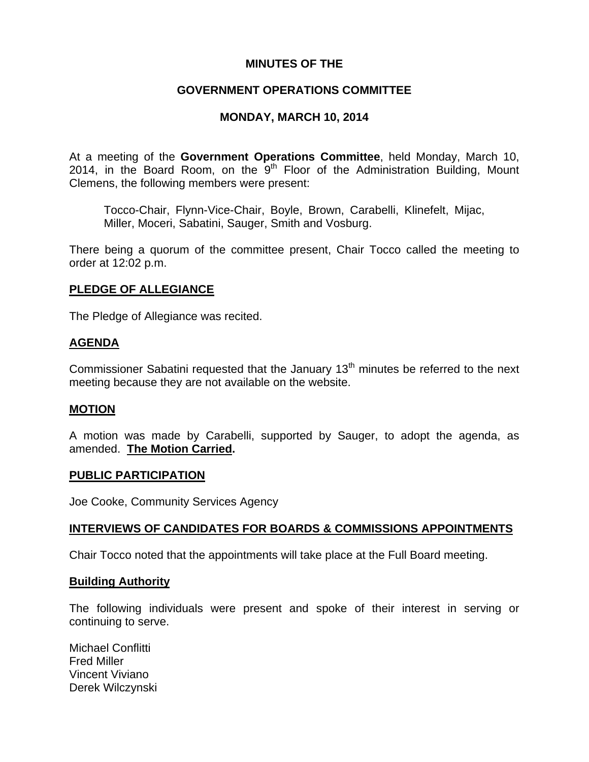## **MINUTES OF THE**

## **GOVERNMENT OPERATIONS COMMITTEE**

# **MONDAY, MARCH 10, 2014**

At a meeting of the **Government Operations Committee**, held Monday, March 10, 2014, in the Board Room, on the  $9<sup>th</sup>$  Floor of the Administration Building, Mount Clemens, the following members were present:

Tocco-Chair, Flynn-Vice-Chair, Boyle, Brown, Carabelli, Klinefelt, Mijac, Miller, Moceri, Sabatini, Sauger, Smith and Vosburg.

There being a quorum of the committee present, Chair Tocco called the meeting to order at 12:02 p.m.

## **PLEDGE OF ALLEGIANCE**

The Pledge of Allegiance was recited.

## **AGENDA**

Commissioner Sabatini requested that the January  $13<sup>th</sup>$  minutes be referred to the next meeting because they are not available on the website.

# **MOTION**

A motion was made by Carabelli, supported by Sauger, to adopt the agenda, as amended. **The Motion Carried.** 

## **PUBLIC PARTICIPATION**

Joe Cooke, Community Services Agency

## **INTERVIEWS OF CANDIDATES FOR BOARDS & COMMISSIONS APPOINTMENTS**

Chair Tocco noted that the appointments will take place at the Full Board meeting.

## **Building Authority**

The following individuals were present and spoke of their interest in serving or continuing to serve.

Michael Conflitti Fred Miller Vincent Viviano Derek Wilczynski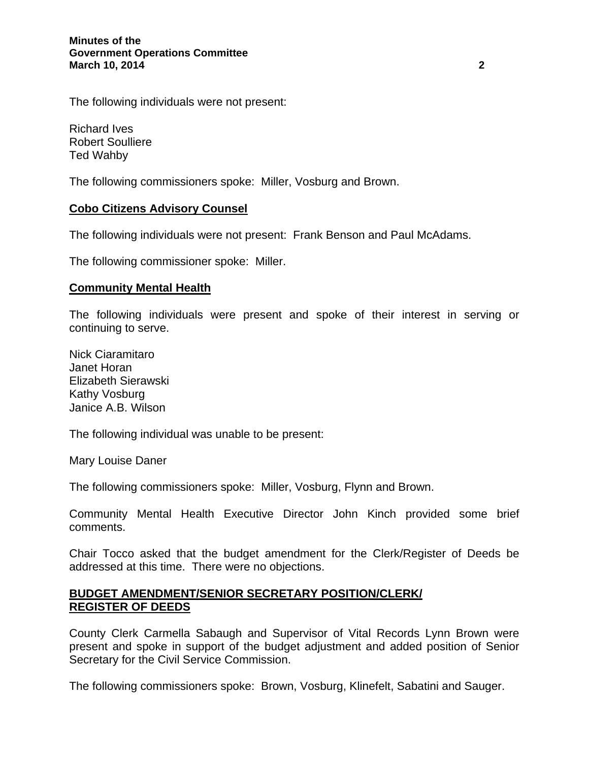#### **Minutes of the Government Operations Committee March 10, 2014** 2 **2**

The following individuals were not present:

Richard Ives Robert Soulliere Ted Wahby

The following commissioners spoke: Miller, Vosburg and Brown.

## **Cobo Citizens Advisory Counsel**

The following individuals were not present: Frank Benson and Paul McAdams.

The following commissioner spoke: Miller.

#### **Community Mental Health**

The following individuals were present and spoke of their interest in serving or continuing to serve.

Nick Ciaramitaro Janet Horan Elizabeth Sierawski Kathy Vosburg Janice A.B. Wilson

The following individual was unable to be present:

Mary Louise Daner

The following commissioners spoke: Miller, Vosburg, Flynn and Brown.

Community Mental Health Executive Director John Kinch provided some brief comments.

Chair Tocco asked that the budget amendment for the Clerk/Register of Deeds be addressed at this time. There were no objections.

## **BUDGET AMENDMENT/SENIOR SECRETARY POSITION/CLERK/ REGISTER OF DEEDS**

County Clerk Carmella Sabaugh and Supervisor of Vital Records Lynn Brown were present and spoke in support of the budget adjustment and added position of Senior Secretary for the Civil Service Commission.

The following commissioners spoke: Brown, Vosburg, Klinefelt, Sabatini and Sauger.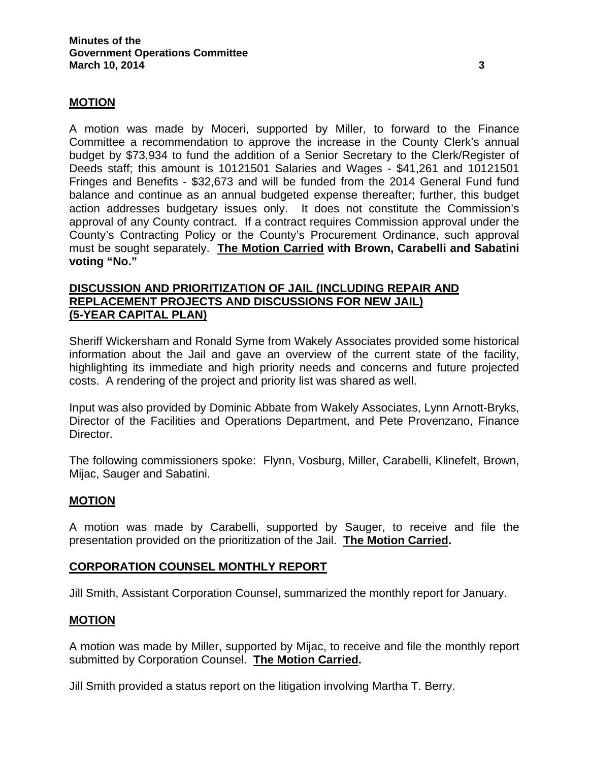## **MOTION**

A motion was made by Moceri, supported by Miller, to forward to the Finance Committee a recommendation to approve the increase in the County Clerk's annual budget by \$73,934 to fund the addition of a Senior Secretary to the Clerk/Register of Deeds staff; this amount is 10121501 Salaries and Wages - \$41,261 and 10121501 Fringes and Benefits - \$32,673 and will be funded from the 2014 General Fund fund balance and continue as an annual budgeted expense thereafter; further, this budget action addresses budgetary issues only. It does not constitute the Commission's approval of any County contract. If a contract requires Commission approval under the County's Contracting Policy or the County's Procurement Ordinance, such approval must be sought separately. **The Motion Carried with Brown, Carabelli and Sabatini voting "No."** 

## **DISCUSSION AND PRIORITIZATION OF JAIL (INCLUDING REPAIR AND REPLACEMENT PROJECTS AND DISCUSSIONS FOR NEW JAIL) (5-YEAR CAPITAL PLAN)**

Sheriff Wickersham and Ronald Syme from Wakely Associates provided some historical information about the Jail and gave an overview of the current state of the facility, highlighting its immediate and high priority needs and concerns and future projected costs. A rendering of the project and priority list was shared as well.

Input was also provided by Dominic Abbate from Wakely Associates, Lynn Arnott-Bryks, Director of the Facilities and Operations Department, and Pete Provenzano, Finance Director.

The following commissioners spoke: Flynn, Vosburg, Miller, Carabelli, Klinefelt, Brown, Mijac, Sauger and Sabatini.

## **MOTION**

A motion was made by Carabelli, supported by Sauger, to receive and file the presentation provided on the prioritization of the Jail. **The Motion Carried.** 

## **CORPORATION COUNSEL MONTHLY REPORT**

Jill Smith, Assistant Corporation Counsel, summarized the monthly report for January.

## **MOTION**

A motion was made by Miller, supported by Mijac, to receive and file the monthly report submitted by Corporation Counsel. **The Motion Carried.** 

Jill Smith provided a status report on the litigation involving Martha T. Berry.